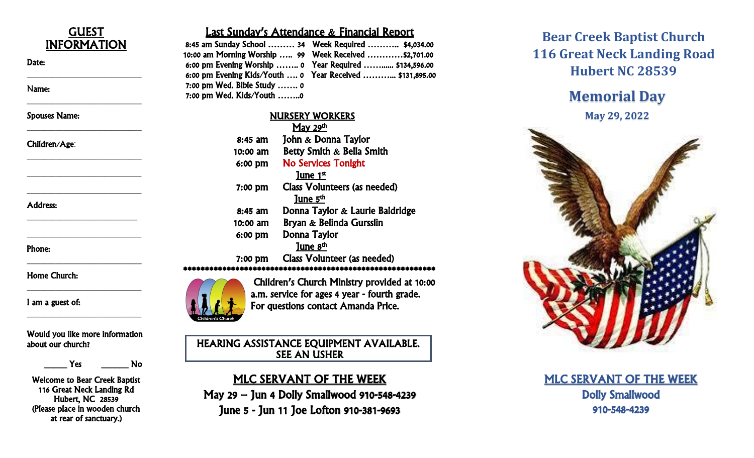

 $\frac{1}{2}$  , which is the set of the set of the set of the set of the set of the set of the set of the set of the set of the set of the set of the set of the set of the set of the set of the set of the set of the set of th

\_\_\_\_\_\_\_\_\_\_\_\_\_\_\_\_\_\_\_\_\_\_\_\_\_\_\_\_

\_\_\_\_\_\_\_\_\_\_\_\_\_\_\_\_\_\_\_\_\_\_\_\_\_\_\_\_

\_\_\_\_\_\_\_\_\_\_\_\_\_\_\_\_\_\_\_\_\_\_\_\_\_\_\_\_

\_\_\_\_\_\_\_\_\_\_\_\_\_\_\_\_\_\_\_\_\_\_\_\_\_\_\_\_

\_\_\_\_\_\_\_\_\_\_\_\_\_\_\_\_\_\_\_\_\_\_\_\_\_\_\_\_

\_\_\_\_\_\_\_\_\_\_\_\_\_\_\_\_\_\_\_\_\_\_\_\_\_\_\_

\_\_\_\_\_\_\_\_\_\_\_\_\_\_\_\_\_\_\_\_\_\_\_\_\_\_\_\_

\_\_\_\_\_\_\_\_\_\_\_\_\_\_\_\_\_\_\_\_\_\_\_\_\_\_\_\_

\_\_\_\_\_\_\_\_\_\_\_\_\_\_\_\_\_\_\_\_\_\_\_\_\_\_\_\_

\_\_\_\_\_\_\_\_\_\_\_\_\_\_\_\_\_\_\_\_\_\_\_\_\_\_\_\_

 $\overline{\phantom{a}}$ 

#### Date:

Name:

Spouses Name:

#### Children/Age:

Address:

Phone:

Home Church:

I am a guest of:

Would you like more information about our church?

\_\_\_\_\_ Yes \_\_\_\_\_\_ No

Welcome to Bear Creek Baptist 116 Great Neck Landing Rd Hubert, NC 28539 (Please place in wooden church at rear of sanctuary.)

#### Last Sunday's Attendance & Financial Report

|                               | 8:45 am Sunday School  34 Week Required  \$4,034.00       |
|-------------------------------|-----------------------------------------------------------|
|                               | 10:00 am Morning Worship  99  Week Received \$2,701.00    |
|                               | 6:00 pm Evening Worship  0 Year Required  \$134,596.00    |
|                               | 6:00 pm Evening Kids/Youth  0 Year Received  \$131,895.00 |
| $7:00$ pm Wed. Bible Study  0 |                                                           |
| 7:00 pm Wed. Kids/Youth 0     |                                                           |

# NURSERY WORKERS May 29th 8:45 am John & Donna Taylor<br>10:00 am Betty Smith & Bella Smith<br>6:00 pm No Services Tonight<br>June 1st 7:00 pm Class Volunteers (as needed) **Solution 19:45 am** Donna Taylor & Laurie Baldridge 10:00 am Bryan & Belinda Gursslin 6:00 pm Donna Taylor June  $8<sup>th</sup>$ 7:00 pm Class Volunteer (as needed) \*\*\*\*\*\*\*\*\*\*\*\*\*\*\*\*\*\*\*\*\*\*\*\*\*\*\*\*\*\*\*\*\*\*\*\*\*\*\*\*\*\*\*\*\*\*\*\*\*\*\*\*\*\*\*\*\*\*



Children's Church Ministry provided at 10:00 a.m. service for ages 4 year - fourth grade. For questions contact Amanda Price.

HEARING ASSISTANCE EQUIPMENT AVAILABLE. SEE AN USHER

### MLC SERVANT OF THE WEEK

May 29 – Jun 4 Dolly Smallwood 910 -548 -4239 June 5 - Jun 11 Joe Lofton 910 -381 -9693

## **Bear Creek Baptist Church 116 Great Neck Landing Road Hubert NC 28539**

# **Memorial Day May 2 9, 2022**



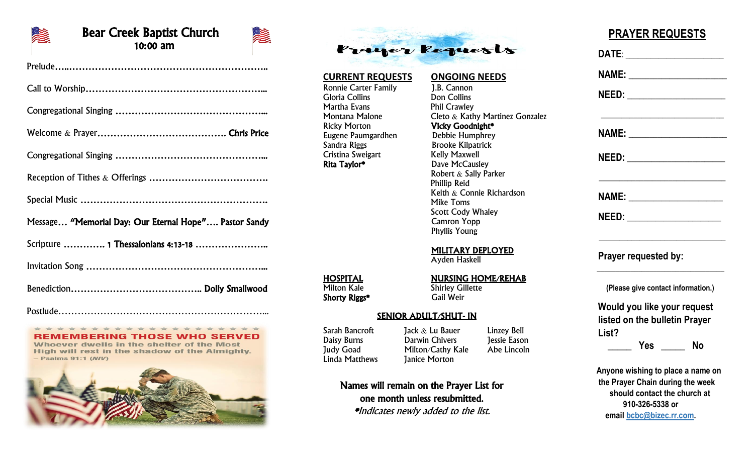

#### Bear Creek Baptist Church 10:00 am



### **REMEMBERING THOSE WHO SERVED**

Whoever dwells in the shelter of the Most High will rest in the shadow of the Almighty.  $-$  Psalms 91:1 (M/V)





#### **CURRENT REQUESTS ONGOING NEEDS** Ronnie Carter Family [J.B. Cannon<br>Gloria Collins [Don Collins] Gloria Collins Martha Evans **Phil Crawley** Montana Malone Cleto & Kathy Martinez Gonzalez<br>Ricky Morton **Vicky Goodnight\*** Vicky Goodnight\* Eugene Paumgardhen Debbie Humphrey Sandra Riggs Brooke Kilpatrick Cristina Sweigart Kelly Maxwell<br> **Rita Taylor\*** Dave McCausl

Dave McCausley Robert & Sally Parker Phillip Reid Keith & Connie Richardson Mike Toms Scott Cody Whaley Camron Yopp Phyllis Young

#### MILITARY DEPLOYED

Ayden Haskell

# **HOSPITAL**<br>Milton Kale **Nursing Shirley Gillette**

**Shirley Gillette**<br>Gail Weir

#### SENIOR ADULT/SHUT- IN

Names will remain on the Prayer List for one month unless resubmitted. \*Indicates newly added to the list.

Sarah Bancroft Jack & Lu Bauer Linzey Bell<br>Daisy Burns Darwin Chivers Jessie Eason

### **PRAYER REQUESTS**

|       |                      | <u>NAME:____________________</u>   |
|-------|----------------------|------------------------------------|
|       |                      |                                    |
|       |                      | NAME: ________________________     |
|       |                      | NEED: _______________________      |
|       |                      |                                    |
|       |                      |                                    |
|       | Prayer requested by: |                                    |
|       |                      | (Please give contact information.) |
|       |                      | Would you like your request        |
|       |                      | listed on the bulletin Prayer      |
| List? |                      |                                    |
|       |                      | Yes ______ No                      |
|       |                      | Anyone wishing to place a name on  |
|       |                      | the Prayer Chain during the week   |
|       |                      | should contact the church at       |
|       | 910-326-5338 or      |                                    |

Shorty Riggs\*

Daisy Burns Darwin Chivers Judy Goad Milton/Cathy Kale Abe Lincoln Linda Matthews Janice Morton